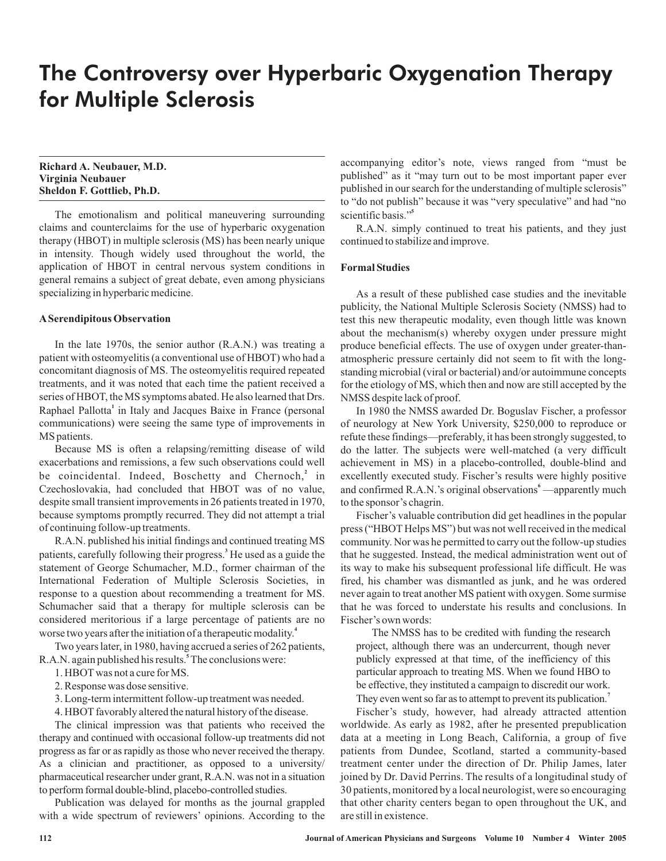# The Controversy over Hyperbaric Oxygenation Therapy for Multiple Sclerosis

**Richard A. Neubauer, M.D. Virginia Neubauer Sheldon F. Gottlieb, Ph.D.**

The emotionalism and political maneuvering surrounding claims and counterclaims for the use of hyperbaric oxygenation therapy (HBOT) in multiple sclerosis (MS) has been nearly unique in intensity. Though widely used throughout the world, the application of HBOT in central nervous system conditions in general remains a subject of great debate, even among physicians specializing in hyperbaric medicine.

## **ASerendipitous Observation**

In the late 1970s, the senior author (R.A.N.) was treating a patient with osteomyelitis (a conventional use of HBOT) who had a concomitant diagnosis of MS. The osteomyelitis required repeated treatments, and it was noted that each time the patient received a series of HBOT, the MS symptoms abated. He also learned that Drs. Raphael Pallotta<sup>1</sup> in Italy and Jacques Baixe in France (personal communications) were seeing the same type of improvements in MS patients.

Because MS is often a relapsing/remitting disease of wild exacerbations and remissions, a few such observations could well be coincidental. Indeed, Boschetty and Chernoch,<sup>2</sup> in Czechoslovakia, had concluded that HBOT was of no value, despite small transient improvements in 26 patients treated in 1970, because symptoms promptly recurred. They did not attempt a trial of continuing follow-up treatments.

R.A.N. published his initial findings and continued treating MS patients, carefully following their progress.<sup>3</sup> He used as a guide the statement of George Schumacher, M.D., former chairman of the International Federation of Multiple Sclerosis Societies, in response to a question about recommending a treatment for MS. Schumacher said that a therapy for multiple sclerosis can be considered meritorious if a large percentage of patients are no worse two years after the initiation of a therapeutic modality. **4**

Two years later, in 1980, having accrued a series of 262 patients, R.A.N. again published his results. The conclusions were: **5**

- 1. HBOT was not a cure for MS.
- 2. Response was dose sensitive.
- 3. Long-term intermittent follow-up treatment was needed.
- 4. HBOT favorably altered the natural history of the disease.

The clinical impression was that patients who received the therapy and continued with occasional follow-up treatments did not progress as far or as rapidly as those who never received the therapy. As a clinician and practitioner, as opposed to a university/ pharmaceutical researcher under grant, R.A.N. was not in a situation to perform formal double-blind, placebo-controlled studies.

Publication was delayed for months as the journal grappled with a wide spectrum of reviewers' opinions. According to the

accompanying editor's note, views ranged from "must be published" as it "may turn out to be most important paper ever published in our search for the understanding of multiple sclerosis" to "do not publish" because it was "very speculative" and had "no scientific basis." **5**

R.A.N. simply continued to treat his patients, and they just continued to stabilize and improve.

# **Formal Studies**

As a result of these published case studies and the inevitable publicity, the National Multiple Sclerosis Society (NMSS) had to test this new therapeutic modality, even though little was known about the mechanism(s) whereby oxygen under pressure might produce beneficial effects. The use of oxygen under greater-thanatmospheric pressure certainly did not seem to fit with the longstanding microbial (viral or bacterial) and/or autoimmune concepts for the etiology of MS, which then and now are still accepted by the NMSS despite lack of proof.

In 1980 the NMSS awarded Dr. Boguslav Fischer, a professor of neurology at New York University, \$250,000 to reproduce or refute these findings—preferably, it has been strongly suggested, to do the latter. The subjects were well-matched (a very difficult achievement in MS) in a placebo-controlled, double-blind and excellently executed study. Fischer's results were highly positive and confirmed R.A.N.'s original observations<sup>6</sup>—apparently much to the sponsor's chagrin.

Fischer's valuable contribution did get headlines in the popular press ("HBOT Helps MS") but was not well received in the medical community. Nor was he permitted to carry out the follow-up studies that he suggested. Instead, the medical administration went out of its way to make his subsequent professional life difficult. He was fired, his chamber was dismantled as junk, and he was ordered never again to treat another MS patient with oxygen. Some surmise that he was forced to understate his results and conclusions. In Fischer's own words:

The NMSS has to be credited with funding the research project, although there was an undercurrent, though never publicly expressed at that time, of the inefficiency of this particular approach to treating MS. When we found HBO to be effective, they instituted a campaign to discredit our work. They even went so far as to attempt to prevent its publication. **7**

Fischer's study, however, had already attracted attention worldwide. As early as 1982, after he presented prepublication data at a meeting in Long Beach, California, a group of five patients from Dundee, Scotland, started a community-based treatment center under the direction of Dr. Philip James, later joined by Dr. David Perrins. The results of a longitudinal study of 30 patients, monitored by a local neurologist, were so encouraging that other charity centers began to open throughout the UK, and are still in existence.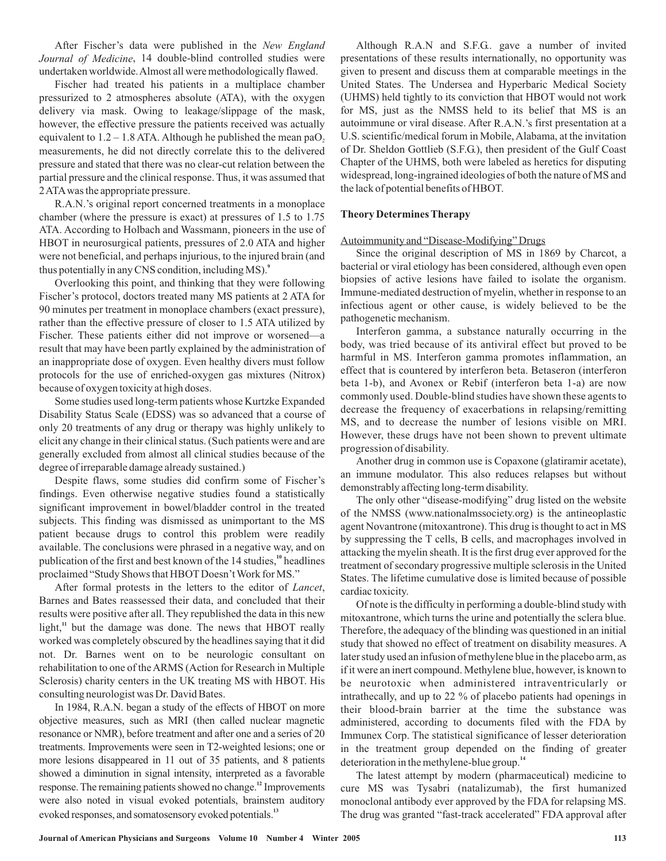After Fischer's data were published in the *New England* Journal of Medicine, 14 double-blind controlled studies were undertaken worldwide.Almost all were methodologically flawed.

Fischer had treated his patients in a multiplace chamber pressurized to 2 atmospheres absolute (ATA), with the oxygen delivery via mask. Owing to leakage/slippage of the mask, however, the effective pressure the patients received was actually equivalent to  $1.2 - 1.8$  ATA. Although he published the mean pa $O_2$ measurements, he did not directly correlate this to the delivered pressure and stated that there was no clear-cut relation between the partial pressure and the clinical response. Thus, it was assumed that 2ATAwas the appropriate pressure.

R.A.N.'s original report concerned treatments in a monoplace chamber (where the pressure is exact) at pressures of 1.5 to 1.75 ATA. According to Holbach and Wassmann, pioneers in the use of HBOT in neurosurgical patients, pressures of 2.0 ATA and higher were not beneficial, and perhaps injurious, to the injured brain (and thus potentially in any CNS condition, including MS). **9**

Overlooking this point, and thinking that they were following Fischer's protocol, doctors treated many MS patients at 2 ATA for 90 minutes per treatment in monoplace chambers (exact pressure), rather than the effective pressure of closer to 1.5 ATA utilized by Fischer. These patients either did not improve or worsened—a result that may have been partly explained by the administration of an inappropriate dose of oxygen. Even healthy divers must follow protocols for the use of enriched-oxygen gas mixtures (Nitrox) because of oxygen toxicity at high doses.

Some studies used long-term patients whose Kurtzke Expanded Disability Status Scale (EDSS) was so advanced that a course of only 20 treatments of any drug or therapy was highly unlikely to elicit any change in their clinical status. (Such patients were and are generally excluded from almost all clinical studies because of the degree of irreparable damage already sustained.)

Despite flaws, some studies did confirm some of Fischer's findings. Even otherwise negative studies found a statistically significant improvement in bowel/bladder control in the treated subjects. This finding was dismissed as unimportant to the MS patient because drugs to control this problem were readily available. The conclusions were phrased in a negative way, and on publication of the first and best known of the 14 studies,<sup>10</sup> headlines proclaimed "Study Shows that HBOT Doesn't Work for MS."

After formal protests in the letters to the editor of *Lancet*, Barnes and Bates reassessed their data, and concluded that their results were positive after all. They republished the data in this new light,<sup>11</sup> but the damage was done. The news that HBOT really worked was completely obscured by the headlines saying that it did not. Dr. Barnes went on to be neurologic consultant on rehabilitation to one of the ARMS (Action for Research in Multiple Sclerosis) charity centers in the UK treating MS with HBOT. His consulting neurologist was Dr. David Bates.

In 1984, R.A.N. began a study of the effects of HBOT on more objective measures, such as MRI (then called nuclear magnetic resonance or NMR), before treatment and after one and a series of 20 treatments. Improvements were seen in T2-weighted lesions; one or more lesions disappeared in 11 out of 35 patients, and 8 patients showed a diminution in signal intensity, interpreted as a favorable response. The remaining patients showed no change.<sup>12</sup> Improvements were also noted in visual evoked potentials, brainstem auditory evoked responses, and somatosensory evoked potentials.<sup>13</sup>

Although R.A.N and S.F.G.. gave a number of invited presentations of these results internationally, no opportunity was given to present and discuss them at comparable meetings in the United States. The Undersea and Hyperbaric Medical Society (UHMS) held tightly to its conviction that HBOT would not work for MS, just as the NMSS held to its belief that MS is an autoimmune or viral disease. After R.A.N.'s first presentation at a U.S. scientific/medical forum in Mobile, Alabama, at the invitation of Dr. Sheldon Gottlieb (S.F.G.), then president of the Gulf Coast Chapter of the UHMS, both were labeled as heretics for disputing widespread, long-ingrained ideologies of both the nature of MS and the lack of potential benefits of HBOT.

## **Theory DeterminesTherapy**

#### Autoimmunity and "Disease-Modifying" Drugs

Since the original description of MS in 1869 by Charcot, a bacterial or viral etiology has been considered, although even open biopsies of active lesions have failed to isolate the organism. Immune-mediated destruction of myelin, whether in response to an infectious agent or other cause, is widely believed to be the pathogenetic mechanism.

Interferon gamma, a substance naturally occurring in the body, was tried because of its antiviral effect but proved to be harmful in MS. Interferon gamma promotes inflammation, an effect that is countered by interferon beta. Betaseron (interferon beta 1-b), and Avonex or Rebif (interferon beta 1-a) are now commonly used. Double-blind studies have shown these agents to decrease the frequency of exacerbations in relapsing/remitting MS, and to decrease the number of lesions visible on MRI. However, these drugs have not been shown to prevent ultimate progression of disability.

Another drug in common use is Copaxone (glatiramir acetate), an immune modulator. This also reduces relapses but without demonstrably affecting long-term disability.

The only other "disease-modifying" drug listed on the website of the NMSS (www.nationalmssociety.org) is the antineoplastic agent Novantrone (mitoxantrone). This drug is thought to act in MS by suppressing the T cells, B cells, and macrophages involved in attacking the myelin sheath. It is the first drug ever approved for the treatment of secondary progressive multiple sclerosis in the United States. The lifetime cumulative dose is limited because of possible cardiac toxicity.

Of note is the difficulty in performing a double-blind study with mitoxantrone, which turns the urine and potentially the sclera blue. Therefore, the adequacy of the blinding was questioned in an initial study that showed no effect of treatment on disability measures. A later study used an infusion of methylene blue in the placebo arm, as if it were an inert compound. Methylene blue, however, is known to be neurotoxic when administered intraventricularly or intrathecally, and up to 22 % of placebo patients had openings in their blood-brain barrier at the time the substance was administered, according to documents filed with the FDA by Immunex Corp. The statistical significance of lesser deterioration in the treatment group depended on the finding of greater deterioration in the methylene-blue group.<sup>14</sup>

The latest attempt by modern (pharmaceutical) medicine to cure MS was Tysabri (natalizumab), the first humanized monoclonal antibody ever approved by the FDA for relapsing MS. The drug was granted "fast-track accelerated" FDA approval after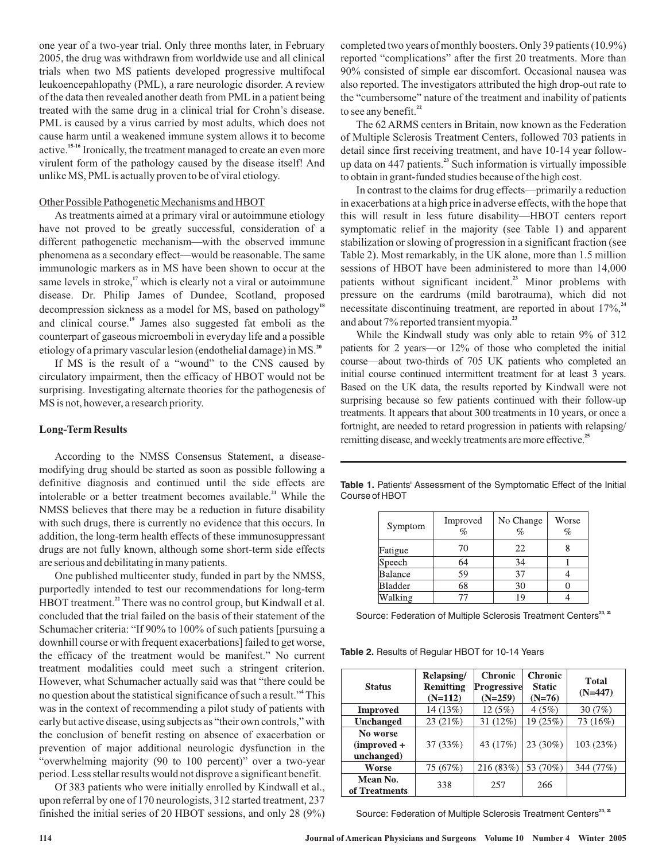one year of a two-year trial. Only three months later, in February 2005, the drug was withdrawn from worldwide use and all clinical trials when two MS patients developed progressive multifocal leukoencepahlopathy (PML), a rare neurologic disorder. A review of the data then revealed another death from PML in a patient being treated with the same drug in a clinical trial for Crohn's disease. PML is caused by a virus carried by most adults, which does not cause harm until a weakened immune system allows it to become active.<sup>15-16</sup> Ironically, the treatment managed to create an even more virulent form of the pathology caused by the disease itself! And unlike MS, PMLis actually proven to be of viral etiology.

## Other Possible Pathogenetic Mechanisms and HBOT

As treatments aimed at a primary viral or autoimmune etiology have not proved to be greatly successful, consideration of a different pathogenetic mechanism—with the observed immune phenomena as a secondary effect—would be reasonable. The same immunologic markers as in MS have been shown to occur at the same levels in stroke,<sup>17</sup> which is clearly not a viral or autoimmune disease. Dr. Philip James of Dundee, Scotland, proposed decompression sickness as a model for MS, based on pathology **18** and clinical course.<sup>19</sup> James also suggested fat emboli as the counterpart of gaseous microemboli in everyday life and a possible etiology of a primary vascular lesion (endothelial damage) in MS. **20**

If MS is the result of a "wound" to the CNS caused by circulatory impairment, then the efficacy of HBOT would not be surprising. Investigating alternate theories for the pathogenesis of MS is not, however, a research priority.

## **Long-Term Results**

According to the NMSS Consensus Statement, a diseasemodifying drug should be started as soon as possible following a definitive diagnosis and continued until the side effects are intolerable or a better treatment becomes available.<sup>21</sup> While the NMSS believes that there may be a reduction in future disability with such drugs, there is currently no evidence that this occurs. In addition, the long-term health effects of these immunosuppressant drugs are not fully known, although some short-term side effects are serious and debilitating in many patients.

One published multicenter study, funded in part by the NMSS, purportedly intended to test our recommendations for long-term HBOT treatment.<sup>22</sup> There was no control group, but Kindwall et al. concluded that the trial failed on the basis of their statement of the Schumacher criteria: "If 90% to 100% of such patients [pursuing a downhill course or with frequent exacerbations] failed to get worse, the efficacy of the treatment would be manifest." No current treatment modalities could meet such a stringent criterion. However, what Schumacher actually said was that "there could be no question about the statistical significance of such a result." This **4** was in the context of recommending a pilot study of patients with early but active disease, using subjects as "their own controls," with the conclusion of benefit resting on absence of exacerbation or prevention of major additional neurologic dysfunction in the "overwhelming majority (90 to 100 percent)" over a two-year period. Less stellar results would not disprove a significant benefit.

Of 383 patients who were initially enrolled by Kindwall et al., upon referral by one of 170 neurologists, 312 started treatment, 237 finished the initial series of 20 HBOT sessions, and only 28 (9%) completed two years of monthly boosters. Only 39 patients (10.9%) reported "complications" after the first 20 treatments. More than 90% consisted of simple ear discomfort. Occasional nausea was also reported. The investigators attributed the high drop-out rate to the "cumbersome" nature of the treatment and inability of patients to see any benefit. **22**

The 62 ARMS centers in Britain, now known as the Federation of Multiple Sclerosis Treatment Centers, followed 703 patients in detail since first receiving treatment, and have 10-14 year followup data on 447 patients.<sup>23</sup> Such information is virtually impossible to obtain in grant-funded studies because of the high cost.

In contrast to the claims for drug effects—primarily a reduction in exacerbations at a high price in adverse effects, with the hope that this will result in less future disability—HBOT centers report symptomatic relief in the majority (see Table 1) and apparent stabilization or slowing of progression in a significant fraction (see Table 2). Most remarkably, in the UK alone, more than 1.5 million sessions of HBOT have been administered to more than 14,000 patients without significant incident.<sup>23</sup> Minor problems with pressure on the eardrums (mild barotrauma), which did not necessitate discontinuing treatment, are reported in about 17%, **24** and about 7% reported transient myopia. **23**

While the Kindwall study was only able to retain 9% of 312 patients for 2 years—or 12% of those who completed the initial course—about two-thirds of 705 UK patients who completed an initial course continued intermittent treatment for at least 3 years. Based on the UK data, the results reported by Kindwall were not surprising because so few patients continued with their follow-up treatments. It appears that about 300 treatments in 10 years, or once a fortnight, are needed to retard progression in patients with relapsing/ remitting disease, and weekly treatments are more effective. **25**

| Table 1. Patients' Assessment of the Symptomatic Effect of the Initial |  |  |  |
|------------------------------------------------------------------------|--|--|--|
| Course of HBOT                                                         |  |  |  |

| Symptom        | Improved<br>$\%$ | No Change<br>$\%$ | Worse<br>$\%$ |
|----------------|------------------|-------------------|---------------|
| Fatigue        | 70               | 22                |               |
| Speech         | 64               | 34                |               |
| Balance        | 59               | 37                |               |
| <b>Bladder</b> | 68               | 30                |               |
| Walking        |                  | 19                |               |

Source: Federation of Multiple Sclerosis Treatment Centers<sup>23, 24</sup>

**Table 2.** Results of Regular HBOT for 10-14 Years

| <b>Status</b>                           | <b>Relapsing/</b><br>Remitting<br>$(N=112)$ | <b>Chronic</b><br><b>Progressive</b><br>$(N=259)$ | <b>Chronic</b><br><b>Static</b><br>$(N=76)$ | <b>Total</b><br>$(N=447)$ |
|-----------------------------------------|---------------------------------------------|---------------------------------------------------|---------------------------------------------|---------------------------|
| <b>Improved</b>                         | 14 (13%)                                    | 12(5%)                                            | 4(5%)                                       | 30 $(7%)$                 |
| <b>Unchanged</b>                        | 23 (21%)                                    | 31(12%)                                           | 19 (25%)                                    | 73 (16%)                  |
| No worse<br>$(improved +$<br>unchanged) | 37 (33%)                                    | 43 (17%)                                          | 23 (30%)                                    | 103(23%)                  |
| Worse                                   | 75 (67%)                                    | 216 (83%)                                         | 53 (70%)                                    | 344 (77%)                 |
| Mean No.<br>of Treatments               | 338                                         | 257                                               | 266                                         |                           |

Source: Federation of Multiple Sclerosis Treatment Centers<sup>23, 24</sup>